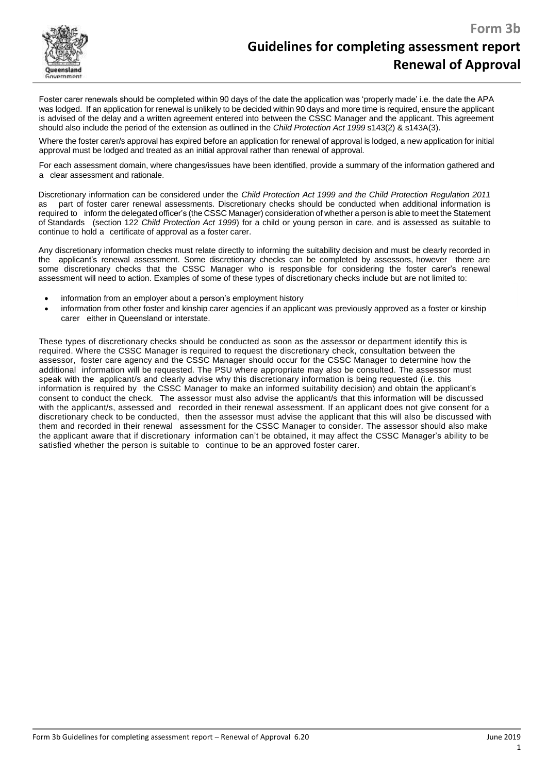

Foster carer renewals should be completed within 90 days of the date the application was 'properly made' i.e. the date the APA was lodged. If an application for renewal is unlikely to be decided within 90 days and more time is required, ensure the applicant is advised of the delay and a written agreement entered into between the CSSC Manager and the applicant. This agreement should also include the period of the extension as outlined in the *Child Protection Act 1999* s143(2) & s143A(3).

Where the foster carer/s approval has expired before an application for renewal of approval is lodged, a new application for initial approval must be lodged and treated as an initial approval rather than renewal of approval.

For each assessment domain, where changes/issues have been identified, provide a summary of the information gathered and a clear assessment and rationale.

Discretionary information can be considered under the *Child Protection Act 1999 and the Child Protection Regulation 2011* as part of foster carer renewal assessments. Discretionary checks should be conducted when additional information is required to inform the delegated officer's (the CSSC Manager) consideration of whether a person is able to meet the Statement of Standards (section 122 *Child Protection Act 1999*) for a child or young person in care, and is assessed as suitable to continue to hold a certificate of approval as a foster carer.

Any discretionary information checks must relate directly to informing the suitability decision and must be clearly recorded in the applicant's renewal assessment. Some discretionary checks can be completed by assessors, however there are some discretionary checks that the CSSC Manager who is responsible for considering the foster carer's renewal assessment will need to action. Examples of some of these types of discretionary checks include but are not limited to:

- information from an employer about a person's employment history
- information from other foster and kinship carer agencies if an applicant was previously approved as a foster or kinship carer either in Queensland or interstate.

These types of discretionary checks should be conducted as soon as the assessor or department identify this is required. Where the CSSC Manager is required to request the discretionary check, consultation between the assessor, foster care agency and the CSSC Manager should occur for the CSSC Manager to determine how the additional information will be requested. The PSU where appropriate may also be consulted. The assessor must speak with the applicant/s and clearly advise why this discretionary information is being requested (i.e. this information is required by the CSSC Manager to make an informed suitability decision) and obtain the applicant's consent to conduct the check. The assessor must also advise the applicant/s that this information will be discussed with the applicant/s, assessed and recorded in their renewal assessment. If an applicant does not give consent for a discretionary check to be conducted, then the assessor must advise the applicant that this will also be discussed with them and recorded in their renewal assessment for the CSSC Manager to consider. The assessor should also make the applicant aware that if discretionary information can't be obtained, it may affect the CSSC Manager's ability to be satisfied whether the person is suitable to continue to be an approved foster carer.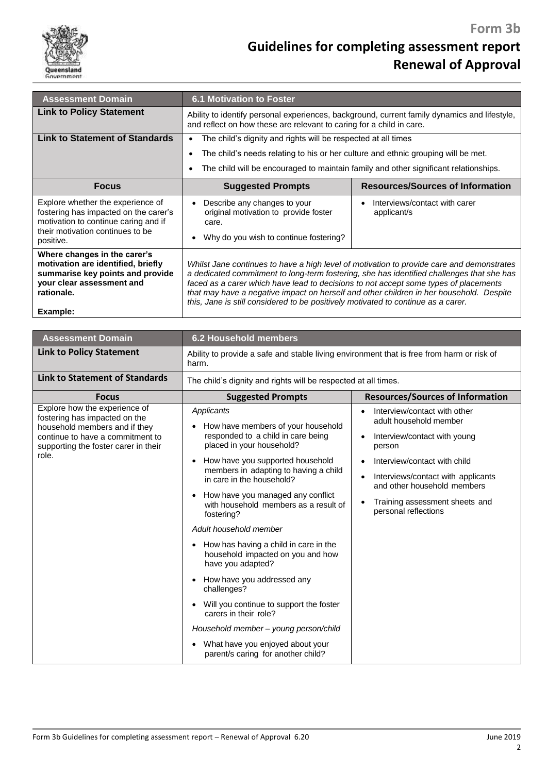

# **Guidelines for completing assessment report Renewal of Approval**

| <b>Assessment Domain</b>                                                                                                                                            | <b>6.1 Motivation to Foster</b>                                                                                                                                                                                                                                                                                                                                                                                                                                |                                              |
|---------------------------------------------------------------------------------------------------------------------------------------------------------------------|----------------------------------------------------------------------------------------------------------------------------------------------------------------------------------------------------------------------------------------------------------------------------------------------------------------------------------------------------------------------------------------------------------------------------------------------------------------|----------------------------------------------|
| <b>Link to Policy Statement</b>                                                                                                                                     | Ability to identify personal experiences, background, current family dynamics and lifestyle,<br>and reflect on how these are relevant to caring for a child in care.                                                                                                                                                                                                                                                                                           |                                              |
| <b>Link to Statement of Standards</b>                                                                                                                               | The child's dignity and rights will be respected at all times<br>٠                                                                                                                                                                                                                                                                                                                                                                                             |                                              |
|                                                                                                                                                                     | The child's needs relating to his or her culture and ethnic grouping will be met.                                                                                                                                                                                                                                                                                                                                                                              |                                              |
|                                                                                                                                                                     | The child will be encouraged to maintain family and other significant relationships.                                                                                                                                                                                                                                                                                                                                                                           |                                              |
| <b>Focus</b>                                                                                                                                                        | <b>Suggested Prompts</b>                                                                                                                                                                                                                                                                                                                                                                                                                                       | <b>Resources/Sources of Information</b>      |
| Explore whether the experience of<br>fostering has impacted on the carer's<br>motivation to continue caring and if<br>their motivation continues to be<br>positive. | Describe any changes to your<br>original motivation to provide foster<br>care.<br>Why do you wish to continue fostering?                                                                                                                                                                                                                                                                                                                                       | Interviews/contact with carer<br>applicant/s |
| Where changes in the carer's<br>motivation are identified, briefly<br>summarise key points and provide<br>your clear assessment and<br>rationale.<br>Example:       | Whilst Jane continues to have a high level of motivation to provide care and demonstrates<br>a dedicated commitment to long-term fostering, she has identified challenges that she has<br>faced as a carer which have lead to decisions to not accept some types of placements<br>that may have a negative impact on herself and other children in her household. Despite<br>this, Jane is still considered to be positively motivated to continue as a carer. |                                              |

| <b>Assessment Domain</b>                                                                                                                                                             | 6.2 Household members                                                                                                                                                                                                                                                                                                                                                                                                                                                                                                                                                                                                                                                                                                                          |                                                                                                                                                                                                                                                                                                                     |
|--------------------------------------------------------------------------------------------------------------------------------------------------------------------------------------|------------------------------------------------------------------------------------------------------------------------------------------------------------------------------------------------------------------------------------------------------------------------------------------------------------------------------------------------------------------------------------------------------------------------------------------------------------------------------------------------------------------------------------------------------------------------------------------------------------------------------------------------------------------------------------------------------------------------------------------------|---------------------------------------------------------------------------------------------------------------------------------------------------------------------------------------------------------------------------------------------------------------------------------------------------------------------|
| <b>Link to Policy Statement</b>                                                                                                                                                      | Ability to provide a safe and stable living environment that is free from harm or risk of<br>harm.                                                                                                                                                                                                                                                                                                                                                                                                                                                                                                                                                                                                                                             |                                                                                                                                                                                                                                                                                                                     |
| Link to Statement of Standards                                                                                                                                                       | The child's dignity and rights will be respected at all times.                                                                                                                                                                                                                                                                                                                                                                                                                                                                                                                                                                                                                                                                                 |                                                                                                                                                                                                                                                                                                                     |
| <b>Focus</b>                                                                                                                                                                         | <b>Suggested Prompts</b>                                                                                                                                                                                                                                                                                                                                                                                                                                                                                                                                                                                                                                                                                                                       | <b>Resources/Sources of Information</b>                                                                                                                                                                                                                                                                             |
| Explore how the experience of<br>fostering has impacted on the<br>household members and if they<br>continue to have a commitment to<br>supporting the foster carer in their<br>role. | Applicants<br>How have members of your household<br>responded to a child in care being<br>placed in your household?<br>How have you supported household<br>$\bullet$<br>members in adapting to having a child<br>in care in the household?<br>How have you managed any conflict<br>$\bullet$<br>with household members as a result of<br>fostering?<br>Adult household member<br>How has having a child in care in the<br>household impacted on you and how<br>have you adapted?<br>How have you addressed any<br>challenges?<br>Will you continue to support the foster<br>$\bullet$<br>carers in their role?<br>Household member - young person/child<br>What have you enjoyed about your<br>$\bullet$<br>parent/s caring for another child? | Interview/contact with other<br>adult household member<br>Interview/contact with young<br>$\bullet$<br>person<br>Interview/contact with child<br>$\bullet$<br>Interviews/contact with applicants<br>$\bullet$<br>and other household members<br>Training assessment sheets and<br>$\bullet$<br>personal reflections |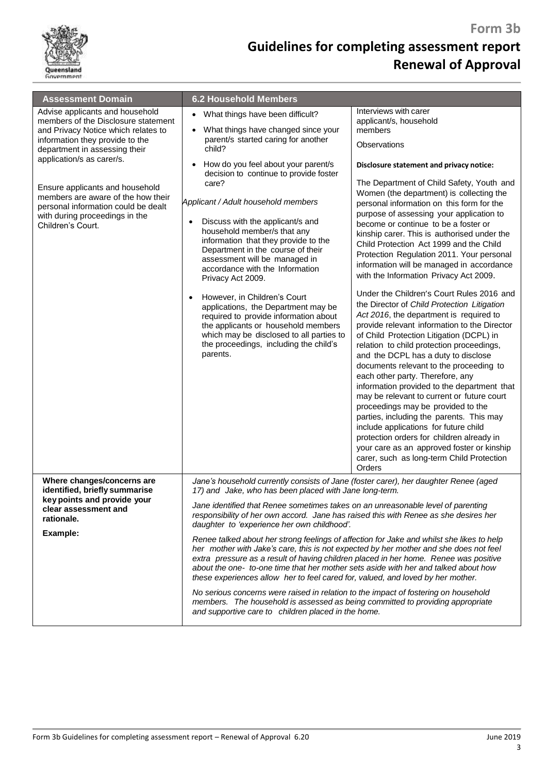

| <b>Assessment Domain</b>                                                                                                                                                                                                                                                                                                                                                              | <b>6.2 Household Members</b>                                                                                                                                                                                                                                                                                                                                                                                                                                                                                                                                                                                                                                                                                                                                                                                                                                                                                                                                                                                                                                      |                                                                                                                                                                                                                                                                                                                                                                                                                                                                                                                                                                                                                                                                                                                                                                                                                                                                                                                                                                                                                                                                                                                                                                                                                                                                                                                                                                |
|---------------------------------------------------------------------------------------------------------------------------------------------------------------------------------------------------------------------------------------------------------------------------------------------------------------------------------------------------------------------------------------|-------------------------------------------------------------------------------------------------------------------------------------------------------------------------------------------------------------------------------------------------------------------------------------------------------------------------------------------------------------------------------------------------------------------------------------------------------------------------------------------------------------------------------------------------------------------------------------------------------------------------------------------------------------------------------------------------------------------------------------------------------------------------------------------------------------------------------------------------------------------------------------------------------------------------------------------------------------------------------------------------------------------------------------------------------------------|----------------------------------------------------------------------------------------------------------------------------------------------------------------------------------------------------------------------------------------------------------------------------------------------------------------------------------------------------------------------------------------------------------------------------------------------------------------------------------------------------------------------------------------------------------------------------------------------------------------------------------------------------------------------------------------------------------------------------------------------------------------------------------------------------------------------------------------------------------------------------------------------------------------------------------------------------------------------------------------------------------------------------------------------------------------------------------------------------------------------------------------------------------------------------------------------------------------------------------------------------------------------------------------------------------------------------------------------------------------|
| Advise applicants and household<br>members of the Disclosure statement<br>and Privacy Notice which relates to<br>information they provide to the<br>department in assessing their<br>application/s as carer/s.<br>Ensure applicants and household<br>members are aware of the how their<br>personal information could be dealt<br>with during proceedings in the<br>Children's Court. | What things have been difficult?<br>$\bullet$<br>What things have changed since your<br>$\bullet$<br>parent/s started caring for another<br>child?<br>How do you feel about your parent/s<br>$\bullet$<br>decision to continue to provide foster<br>care?<br>Applicant / Adult household members<br>Discuss with the applicant/s and<br>$\bullet$<br>household member/s that any<br>information that they provide to the<br>Department in the course of their<br>assessment will be managed in<br>accordance with the Information<br>Privacy Act 2009.<br>However, in Children's Court<br>applications, the Department may be<br>required to provide information about<br>the applicants or household members<br>which may be disclosed to all parties to<br>the proceedings, including the child's<br>parents.                                                                                                                                                                                                                                                   | Interviews with carer<br>applicant/s, household<br>members<br>Observations<br>Disclosure statement and privacy notice:<br>The Department of Child Safety, Youth and<br>Women (the department) is collecting the<br>personal information on this form for the<br>purpose of assessing your application to<br>become or continue to be a foster or<br>kinship carer. This is authorised under the<br>Child Protection Act 1999 and the Child<br>Protection Regulation 2011. Your personal<br>information will be managed in accordance<br>with the Information Privacy Act 2009.<br>Under the Children's Court Rules 2016 and<br>the Director of Child Protection Litigation<br>Act 2016, the department is required to<br>provide relevant information to the Director<br>of Child Protection Litigation (DCPL) in<br>relation to child protection proceedings,<br>and the DCPL has a duty to disclose<br>documents relevant to the proceeding to<br>each other party. Therefore, any<br>information provided to the department that<br>may be relevant to current or future court<br>proceedings may be provided to the<br>parties, including the parents. This may<br>include applications for future child<br>protection orders for children already in<br>your care as an approved foster or kinship<br>carer, such as long-term Child Protection<br>Orders |
| Where changes/concerns are<br>identified, briefly summarise<br>key points and provide your<br>clear assessment and<br>rationale.<br>Example:                                                                                                                                                                                                                                          | Jane's household currently consists of Jane (foster carer), her daughter Renee (aged<br>17) and Jake, who has been placed with Jane long-term.<br>Jane identified that Renee sometimes takes on an unreasonable level of parenting<br>responsibility of her own accord. Jane has raised this with Renee as she desires her<br>daughter to 'experience her own childhood'.<br>Renee talked about her strong feelings of affection for Jake and whilst she likes to help<br>her mother with Jake's care, this is not expected by her mother and she does not feel<br>extra pressure as a result of having children placed in her home. Renee was positive<br>about the one- to-one time that her mother sets aside with her and talked about how<br>these experiences allow her to feel cared for, valued, and loved by her mother.<br>No serious concerns were raised in relation to the impact of fostering on household<br>members. The household is assessed as being committed to providing appropriate<br>and supportive care to children placed in the home. |                                                                                                                                                                                                                                                                                                                                                                                                                                                                                                                                                                                                                                                                                                                                                                                                                                                                                                                                                                                                                                                                                                                                                                                                                                                                                                                                                                |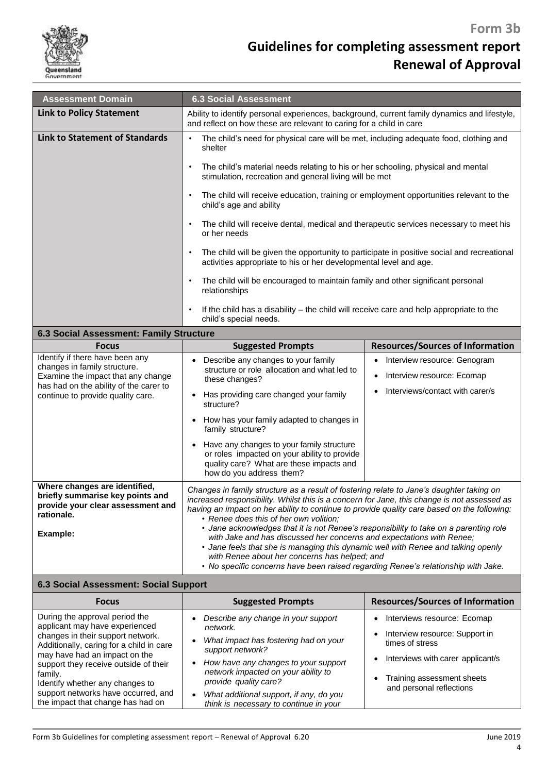

| <b>Assessment Domain</b>                                                                                             | <b>6.3 Social Assessment</b>                                                                                                                                                                                                                                                                                                                                                              |                                                                      |
|----------------------------------------------------------------------------------------------------------------------|-------------------------------------------------------------------------------------------------------------------------------------------------------------------------------------------------------------------------------------------------------------------------------------------------------------------------------------------------------------------------------------------|----------------------------------------------------------------------|
| <b>Link to Policy Statement</b>                                                                                      | Ability to identify personal experiences, background, current family dynamics and lifestyle,<br>and reflect on how these are relevant to caring for a child in care                                                                                                                                                                                                                       |                                                                      |
| <b>Link to Statement of Standards</b>                                                                                | The child's need for physical care will be met, including adequate food, clothing and<br>$\bullet$<br>shelter<br>The child's material needs relating to his or her schooling, physical and mental<br>$\bullet$<br>stimulation, recreation and general living will be met                                                                                                                  |                                                                      |
|                                                                                                                      |                                                                                                                                                                                                                                                                                                                                                                                           |                                                                      |
|                                                                                                                      | The child will receive education, training or employment opportunities relevant to the<br>child's age and ability                                                                                                                                                                                                                                                                         |                                                                      |
|                                                                                                                      | The child will receive dental, medical and therapeutic services necessary to meet his<br>or her needs                                                                                                                                                                                                                                                                                     |                                                                      |
|                                                                                                                      | The child will be given the opportunity to participate in positive social and recreational<br>activities appropriate to his or her developmental level and age.                                                                                                                                                                                                                           |                                                                      |
|                                                                                                                      | The child will be encouraged to maintain family and other significant personal<br>$\bullet$<br>relationships                                                                                                                                                                                                                                                                              |                                                                      |
|                                                                                                                      | If the child has a disability – the child will receive care and help appropriate to the<br>child's special needs.                                                                                                                                                                                                                                                                         |                                                                      |
| 6.3 Social Assessment: Family Structure                                                                              |                                                                                                                                                                                                                                                                                                                                                                                           |                                                                      |
| <b>Focus</b>                                                                                                         | <b>Suggested Prompts</b>                                                                                                                                                                                                                                                                                                                                                                  | <b>Resources/Sources of Information</b>                              |
| Identify if there have been any<br>changes in family structure.<br>Examine the impact that any change                | Describe any changes to your family<br>$\bullet$<br>structure or role allocation and what led to<br>these changes?                                                                                                                                                                                                                                                                        | Interview resource: Genogram<br>٠<br>Interview resource: Ecomap<br>٠ |
| has had on the ability of the carer to<br>continue to provide quality care.                                          | Has providing care changed your family<br>$\bullet$<br>structure?                                                                                                                                                                                                                                                                                                                         | Interviews/contact with carer/s                                      |
|                                                                                                                      | How has your family adapted to changes in<br>family structure?                                                                                                                                                                                                                                                                                                                            |                                                                      |
|                                                                                                                      | Have any changes to your family structure<br>or roles impacted on your ability to provide<br>quality care? What are these impacts and<br>how do you address them?                                                                                                                                                                                                                         |                                                                      |
| Where changes are identified,<br>briefly summarise key points and<br>provide your clear assessment and<br>rationale. | Changes in family structure as a result of fostering relate to Jane's daughter taking on<br>increased responsibility. Whilst this is a concern for Jane, this change is not assessed as<br>having an impact on her ability to continue to provide quality care based on the following:<br>• Renee does this of her own volition;                                                          |                                                                      |
| Example:                                                                                                             | • Jane acknowledges that it is not Renee's responsibility to take on a parenting role<br>with Jake and has discussed her concerns and expectations with Renee;<br>• Jane feels that she is managing this dynamic well with Renee and talking openly<br>with Renee about her concerns has helped; and<br>• No specific concerns have been raised regarding Renee's relationship with Jake. |                                                                      |
| 6.3 Social Assessment: Social Support                                                                                |                                                                                                                                                                                                                                                                                                                                                                                           |                                                                      |
| <b>Focus</b>                                                                                                         | <b>Resources/Sources of Information</b><br><b>Suggested Prompts</b>                                                                                                                                                                                                                                                                                                                       |                                                                      |
| During the approval period the                                                                                       | Describe any change in your support                                                                                                                                                                                                                                                                                                                                                       | Interviews resource: Ecomap<br>$\bullet$                             |
| applicant may have experienced<br>changes in their support network.<br>Additionally, caring for a child in care      | network.<br>What impact has fostering had on your<br>$\bullet$                                                                                                                                                                                                                                                                                                                            | Interview resource: Support in<br>$\bullet$<br>times of stress       |
| may have had an impact on the                                                                                        | support network?<br>How hous ony changes to your support                                                                                                                                                                                                                                                                                                                                  | Interviews with carer applicant/s<br>$\bullet$                       |

 *What additional support, if any, do you think is necessary to continue in your*

support they receive outside of their

Identify whether any changes to support networks have occurred, and the impact that change has had on

family.

• Training assessment sheets and personal reflections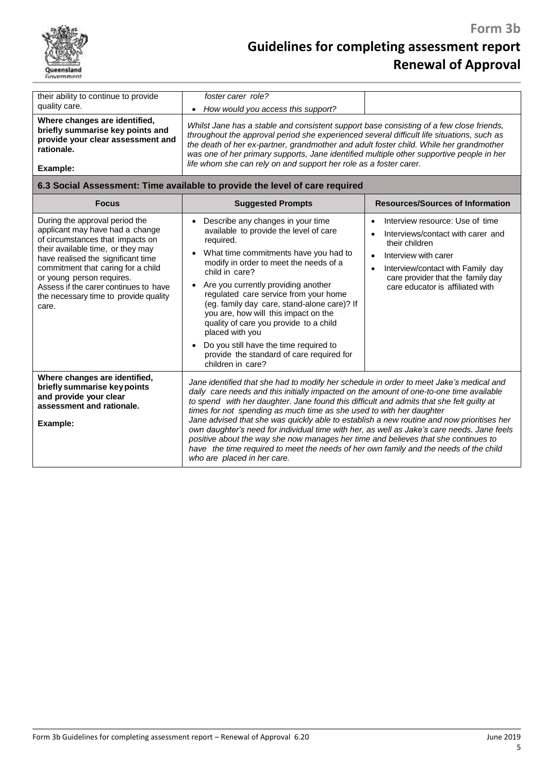

| their ability to continue to provide<br>quality care.<br>Where changes are identified,<br>briefly summarise key points and<br>provide your clear assessment and<br>rationale.<br>Example:                                                                                                                                                      | foster carer role?<br>How would you access this support?<br>$\bullet$<br>Whilst Jane has a stable and consistent support base consisting of a few close friends,<br>throughout the approval period she experienced several difficult life situations, such as<br>the death of her ex-partner, grandmother and adult foster child. While her grandmother<br>was one of her primary supports, Jane identified multiple other supportive people in her<br>life whom she can rely on and support her role as a foster carer.                                                                                                                                                                                                                                        |                                                                                                                                                                                                                                                        |
|------------------------------------------------------------------------------------------------------------------------------------------------------------------------------------------------------------------------------------------------------------------------------------------------------------------------------------------------|-----------------------------------------------------------------------------------------------------------------------------------------------------------------------------------------------------------------------------------------------------------------------------------------------------------------------------------------------------------------------------------------------------------------------------------------------------------------------------------------------------------------------------------------------------------------------------------------------------------------------------------------------------------------------------------------------------------------------------------------------------------------|--------------------------------------------------------------------------------------------------------------------------------------------------------------------------------------------------------------------------------------------------------|
|                                                                                                                                                                                                                                                                                                                                                | 6.3 Social Assessment: Time available to provide the level of care required                                                                                                                                                                                                                                                                                                                                                                                                                                                                                                                                                                                                                                                                                     |                                                                                                                                                                                                                                                        |
| <b>Focus</b>                                                                                                                                                                                                                                                                                                                                   | <b>Suggested Prompts</b>                                                                                                                                                                                                                                                                                                                                                                                                                                                                                                                                                                                                                                                                                                                                        | <b>Resources/Sources of Information</b>                                                                                                                                                                                                                |
| During the approval period the<br>applicant may have had a change<br>of circumstances that impacts on<br>their available time, or they may<br>have realised the significant time<br>commitment that caring for a child<br>or young person requires.<br>Assess if the carer continues to have<br>the necessary time to provide quality<br>care. | Describe any changes in your time<br>$\bullet$<br>available to provide the level of care<br>required.<br>What time commitments have you had to<br>$\bullet$<br>modify in order to meet the needs of a<br>child in care?<br>Are you currently providing another<br>$\bullet$<br>regulated care service from your home<br>(eg. family day care, stand-alone care)? If<br>you are, how will this impact on the<br>quality of care you provide to a child<br>placed with you<br>Do you still have the time required to<br>provide the standard of care required for<br>children in care?                                                                                                                                                                            | Interview resource: Use of time<br>Interviews/contact with carer and<br>their children<br>Interview with carer<br>$\bullet$<br>Interview/contact with Family day<br>$\bullet$<br>care provider that the family day<br>care educator is affiliated with |
| Where changes are identified,<br>briefly summarise key points<br>and provide your clear<br>assessment and rationale.<br>Example:                                                                                                                                                                                                               | Jane identified that she had to modify her schedule in order to meet Jake's medical and<br>daily care needs and this initially impacted on the amount of one-to-one time available<br>to spend with her daughter. Jane found this difficult and admits that she felt guilty at<br>times for not spending as much time as she used to with her daughter<br>Jane advised that she was quickly able to establish a new routine and now prioritises her<br>own daughter's need for individual time with her, as well as Jake's care needs. Jane feels<br>positive about the way she now manages her time and believes that she continues to<br>have the time required to meet the needs of her own family and the needs of the child<br>who are placed in her care. |                                                                                                                                                                                                                                                        |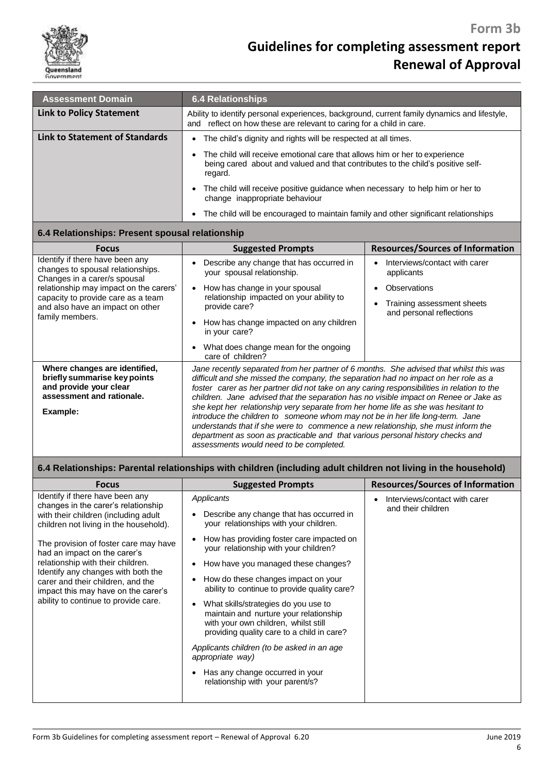

| <b>Assessment Domain</b>        | <b>6.4 Relationships</b>                                                                                                                                                 |  |
|---------------------------------|--------------------------------------------------------------------------------------------------------------------------------------------------------------------------|--|
| <b>Link to Policy Statement</b> | Ability to identify personal experiences, background, current family dynamics and lifestyle,<br>and reflect on how these are relevant to caring for a child in care.     |  |
| Link to Statement of Standards  | The child's dignity and rights will be respected at all times.<br>$\bullet$                                                                                              |  |
|                                 | The child will receive emotional care that allows him or her to experience<br>being cared about and valued and that contributes to the child's positive self-<br>regard. |  |
|                                 | The child will receive positive quidance when necessary to help him or her to<br>$\bullet$<br>change inappropriate behaviour                                             |  |
|                                 | • The child will be encouraged to maintain family and other significant relationships                                                                                    |  |

### **6.4 Relationships: Present spousal relationship**

| <b>Focus</b>                                                                                                                     | <b>Suggested Prompts</b>                                                                                                                                                                                                                                                                                                                                                                                                                                                                                                                                                                                                                                                                                                                                   | <b>Resources/Sources of Information</b>                |
|----------------------------------------------------------------------------------------------------------------------------------|------------------------------------------------------------------------------------------------------------------------------------------------------------------------------------------------------------------------------------------------------------------------------------------------------------------------------------------------------------------------------------------------------------------------------------------------------------------------------------------------------------------------------------------------------------------------------------------------------------------------------------------------------------------------------------------------------------------------------------------------------------|--------------------------------------------------------|
| Identify if there have been any<br>changes to spousal relationships.<br>Changes in a carer/s spousal                             | Describe any change that has occurred in<br>your spousal relationship.                                                                                                                                                                                                                                                                                                                                                                                                                                                                                                                                                                                                                                                                                     | Interviews/contact with carer<br>applicants            |
| relationship may impact on the carers'                                                                                           | How has change in your spousal                                                                                                                                                                                                                                                                                                                                                                                                                                                                                                                                                                                                                                                                                                                             | Observations                                           |
| capacity to provide care as a team<br>and also have an impact on other                                                           | relationship impacted on your ability to<br>provide care?                                                                                                                                                                                                                                                                                                                                                                                                                                                                                                                                                                                                                                                                                                  | Training assessment sheets<br>and personal reflections |
| family members.                                                                                                                  | How has change impacted on any children<br>in your care?                                                                                                                                                                                                                                                                                                                                                                                                                                                                                                                                                                                                                                                                                                   |                                                        |
|                                                                                                                                  | What does change mean for the ongoing<br>٠<br>care of children?                                                                                                                                                                                                                                                                                                                                                                                                                                                                                                                                                                                                                                                                                            |                                                        |
| Where changes are identified,<br>briefly summarise key points<br>and provide your clear<br>assessment and rationale.<br>Example: | Jane recently separated from her partner of 6 months. She advised that whilst this was<br>difficult and she missed the company, the separation had no impact on her role as a<br>foster carer as her partner did not take on any caring responsibilities in relation to the<br>children. Jane advised that the separation has no visible impact on Renee or Jake as<br>she kept her relationship very separate from her home life as she was hesitant to<br>introduce the children to someone whom may not be in her life long-term. Jane<br>understands that if she were to commence a new relationship, she must inform the<br>department as soon as practicable and that various personal history checks and<br>assessments would need to be completed. |                                                        |

| 6.4 Relationships: Parental relationships with children (including adult children not living in the household)                                                                                                                                                       |                                                                                                                                                                                                                                                                                                                              |                                                     |
|----------------------------------------------------------------------------------------------------------------------------------------------------------------------------------------------------------------------------------------------------------------------|------------------------------------------------------------------------------------------------------------------------------------------------------------------------------------------------------------------------------------------------------------------------------------------------------------------------------|-----------------------------------------------------|
| <b>Focus</b>                                                                                                                                                                                                                                                         | <b>Suggested Prompts</b>                                                                                                                                                                                                                                                                                                     | <b>Resources/Sources of Information</b>             |
| Identify if there have been any<br>changes in the carer's relationship<br>with their children (including adult<br>children not living in the household).                                                                                                             | Applicants<br>Describe any change that has occurred in<br>your relationships with your children.                                                                                                                                                                                                                             | Interviews/contact with carer<br>and their children |
| The provision of foster care may have<br>had an impact on the carer's<br>relationship with their children.<br>Identify any changes with both the<br>carer and their children, and the<br>impact this may have on the carer's<br>ability to continue to provide care. | How has providing foster care impacted on<br>$\bullet$<br>your relationship with your children?<br>How have you managed these changes?<br>$\bullet$<br>How do these changes impact on your<br>ability to continue to provide quality care?<br>What skills/strategies do you use to<br>maintain and nurture your relationship |                                                     |
|                                                                                                                                                                                                                                                                      | with your own children, whilst still<br>providing quality care to a child in care?<br>Applicants children (to be asked in an age<br>appropriate way)<br>Has any change occurred in your<br>relationship with your parent/s?                                                                                                  |                                                     |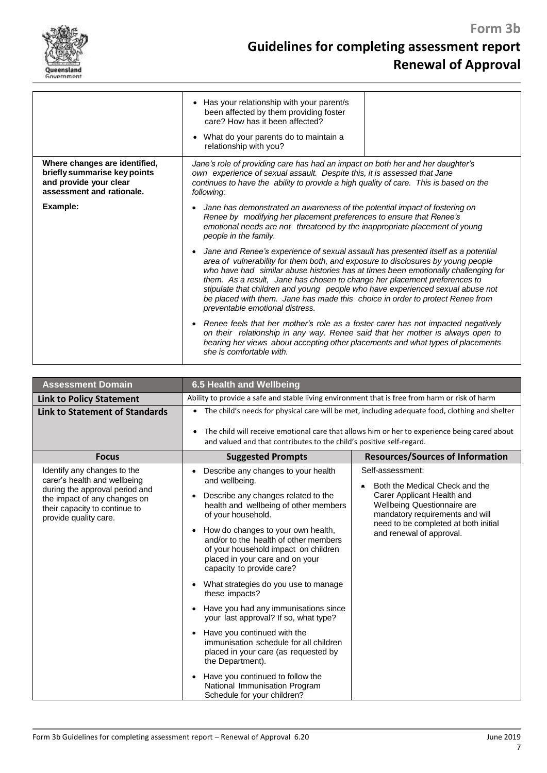

|                                                                                                                      | Has your relationship with your parent/s<br>$\bullet$<br>been affected by them providing foster<br>care? How has it been affected?<br>What do your parents do to maintain a<br>$\bullet$<br>relationship with you?                                                                                                                                                                                                                                                                                                                                          |  |
|----------------------------------------------------------------------------------------------------------------------|-------------------------------------------------------------------------------------------------------------------------------------------------------------------------------------------------------------------------------------------------------------------------------------------------------------------------------------------------------------------------------------------------------------------------------------------------------------------------------------------------------------------------------------------------------------|--|
| Where changes are identified,<br>briefly summarise key points<br>and provide your clear<br>assessment and rationale. | Jane's role of providing care has had an impact on both her and her daughter's<br>own experience of sexual assault. Despite this, it is assessed that Jane<br>continues to have the ability to provide a high quality of care. This is based on the<br>following:                                                                                                                                                                                                                                                                                           |  |
| Example:                                                                                                             | Jane has demonstrated an awareness of the potential impact of fostering on<br>$\bullet$<br>Renee by modifying her placement preferences to ensure that Renee's<br>emotional needs are not threatened by the inappropriate placement of young<br>people in the family.                                                                                                                                                                                                                                                                                       |  |
|                                                                                                                      | Jane and Renee's experience of sexual assault has presented itself as a potential<br>$\bullet$<br>area of vulnerability for them both, and exposure to disclosures by young people<br>who have had similar abuse histories has at times been emotionally challenging for<br>them. As a result, Jane has chosen to change her placement preferences to<br>stipulate that children and young people who have experienced sexual abuse not<br>be placed with them. Jane has made this choice in order to protect Renee from<br>preventable emotional distress. |  |
|                                                                                                                      | Renee feels that her mother's role as a foster carer has not impacted negatively<br>$\bullet$<br>on their relationship in any way. Renee said that her mother is always open to<br>hearing her views about accepting other placements and what types of placements<br>she is comfortable with.                                                                                                                                                                                                                                                              |  |

| <b>Assessment Domain</b>                                                                                                                                                                | 6.5 Health and Wellbeing                                                                                                                                                                                                                                                                                                                                                                                                                                                                                                                                                                                                                                                                                                                                                                                             |                                                                                                                                                                                                                                            |
|-----------------------------------------------------------------------------------------------------------------------------------------------------------------------------------------|----------------------------------------------------------------------------------------------------------------------------------------------------------------------------------------------------------------------------------------------------------------------------------------------------------------------------------------------------------------------------------------------------------------------------------------------------------------------------------------------------------------------------------------------------------------------------------------------------------------------------------------------------------------------------------------------------------------------------------------------------------------------------------------------------------------------|--------------------------------------------------------------------------------------------------------------------------------------------------------------------------------------------------------------------------------------------|
| <b>Link to Policy Statement</b>                                                                                                                                                         | Ability to provide a safe and stable living environment that is free from harm or risk of harm                                                                                                                                                                                                                                                                                                                                                                                                                                                                                                                                                                                                                                                                                                                       |                                                                                                                                                                                                                                            |
| <b>Link to Statement of Standards</b>                                                                                                                                                   | • The child's needs for physical care will be met, including adequate food, clothing and shelter<br>The child will receive emotional care that allows him or her to experience being cared about<br>and valued and that contributes to the child's positive self-regard.                                                                                                                                                                                                                                                                                                                                                                                                                                                                                                                                             |                                                                                                                                                                                                                                            |
| <b>Focus</b>                                                                                                                                                                            | <b>Suggested Prompts</b>                                                                                                                                                                                                                                                                                                                                                                                                                                                                                                                                                                                                                                                                                                                                                                                             | <b>Resources/Sources of Information</b>                                                                                                                                                                                                    |
| Identify any changes to the<br>carer's health and wellbeing<br>during the approval period and<br>the impact of any changes on<br>their capacity to continue to<br>provide quality care. | Describe any changes to your health<br>and wellbeing.<br>Describe any changes related to the<br>$\bullet$<br>health and wellbeing of other members<br>of your household.<br>How do changes to your own health,<br>$\bullet$<br>and/or to the health of other members<br>of your household impact on children<br>placed in your care and on your<br>capacity to provide care?<br>What strategies do you use to manage<br>$\bullet$<br>these impacts?<br>Have you had any immunisations since<br>$\bullet$<br>your last approval? If so, what type?<br>Have you continued with the<br>$\bullet$<br>immunisation schedule for all children<br>placed in your care (as requested by<br>the Department).<br>Have you continued to follow the<br>$\bullet$<br>National Immunisation Program<br>Schedule for your children? | Self-assessment:<br>Both the Medical Check and the<br>$\bullet$<br>Carer Applicant Health and<br><b>Wellbeing Questionnaire are</b><br>mandatory requirements and will<br>need to be completed at both initial<br>and renewal of approval. |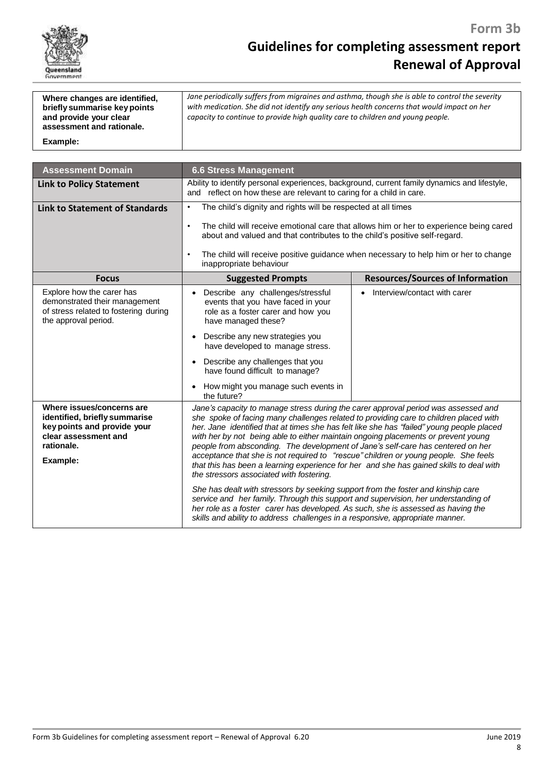

| Where changes are identified,<br>briefly summarise key points<br>and provide your clear<br>assessment and rationale. | Jane periodically suffers from migraines and asthma, though she is able to control the severity<br>with medication. She did not identify any serious health concerns that would impact on her<br>capacity to continue to provide high quality care to children and young people. |
|----------------------------------------------------------------------------------------------------------------------|----------------------------------------------------------------------------------------------------------------------------------------------------------------------------------------------------------------------------------------------------------------------------------|
| Example:                                                                                                             |                                                                                                                                                                                                                                                                                  |

| <b>Assessment Domain</b>                                                                                                                    | <b>6.6 Stress Management</b>                                                                                                                                                                                                                                                                                                                                                                                                                                                                                                                                                                                                                                                   |                                                                                      |
|---------------------------------------------------------------------------------------------------------------------------------------------|--------------------------------------------------------------------------------------------------------------------------------------------------------------------------------------------------------------------------------------------------------------------------------------------------------------------------------------------------------------------------------------------------------------------------------------------------------------------------------------------------------------------------------------------------------------------------------------------------------------------------------------------------------------------------------|--------------------------------------------------------------------------------------|
| <b>Link to Policy Statement</b>                                                                                                             | Ability to identify personal experiences, background, current family dynamics and lifestyle,<br>and reflect on how these are relevant to caring for a child in care.                                                                                                                                                                                                                                                                                                                                                                                                                                                                                                           |                                                                                      |
| <b>Link to Statement of Standards</b>                                                                                                       | The child's dignity and rights will be respected at all times<br>$\bullet$<br>The child will receive emotional care that allows him or her to experience being cared<br>$\bullet$                                                                                                                                                                                                                                                                                                                                                                                                                                                                                              |                                                                                      |
|                                                                                                                                             | about and valued and that contributes to the child's positive self-regard.                                                                                                                                                                                                                                                                                                                                                                                                                                                                                                                                                                                                     |                                                                                      |
|                                                                                                                                             | $\bullet$<br>inappropriate behaviour                                                                                                                                                                                                                                                                                                                                                                                                                                                                                                                                                                                                                                           | The child will receive positive guidance when necessary to help him or her to change |
| <b>Focus</b>                                                                                                                                | <b>Suggested Prompts</b>                                                                                                                                                                                                                                                                                                                                                                                                                                                                                                                                                                                                                                                       | <b>Resources/Sources of Information</b>                                              |
| Explore how the carer has<br>demonstrated their management<br>of stress related to fostering during<br>the approval period.                 | Describe any challenges/stressful<br>$\bullet$<br>events that you have faced in your<br>role as a foster carer and how you<br>have managed these?                                                                                                                                                                                                                                                                                                                                                                                                                                                                                                                              | Interview/contact with carer                                                         |
|                                                                                                                                             | Describe any new strategies you<br>$\bullet$<br>have developed to manage stress.                                                                                                                                                                                                                                                                                                                                                                                                                                                                                                                                                                                               |                                                                                      |
|                                                                                                                                             | Describe any challenges that you<br>$\bullet$<br>have found difficult to manage?                                                                                                                                                                                                                                                                                                                                                                                                                                                                                                                                                                                               |                                                                                      |
|                                                                                                                                             | How might you manage such events in<br>$\bullet$<br>the future?                                                                                                                                                                                                                                                                                                                                                                                                                                                                                                                                                                                                                |                                                                                      |
| Where issues/concerns are<br>identified, briefly summarise<br>key points and provide your<br>clear assessment and<br>rationale.<br>Example: | Jane's capacity to manage stress during the carer approval period was assessed and<br>she spoke of facing many challenges related to providing care to children placed with<br>her. Jane identified that at times she has felt like she has "failed" young people placed<br>with her by not being able to either maintain ongoing placements or prevent young<br>people from absconding. The development of Jane's self-care has centered on her<br>acceptance that she is not required to "rescue" children or young people. She feels<br>that this has been a learning experience for her and she has gained skills to deal with<br>the stressors associated with fostering. |                                                                                      |
|                                                                                                                                             | She has dealt with stressors by seeking support from the foster and kinship care<br>service and her family. Through this support and supervision, her understanding of<br>her role as a foster carer has developed. As such, she is assessed as having the<br>skills and ability to address challenges in a responsive, appropriate manner.                                                                                                                                                                                                                                                                                                                                    |                                                                                      |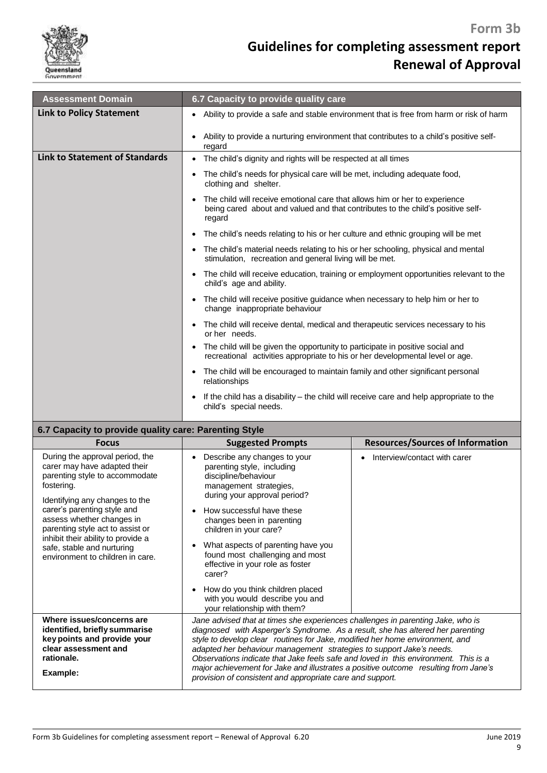

## **Guidelines for completing assessment report Renewal of Approval**

| <b>Assessment Domain</b>                                                                                                                                                         | 6.7 Capacity to provide quality care                                                                                                                                                                                                                                                                                                                                                                                                                                                                                                                                 |                                         |  |  |
|----------------------------------------------------------------------------------------------------------------------------------------------------------------------------------|----------------------------------------------------------------------------------------------------------------------------------------------------------------------------------------------------------------------------------------------------------------------------------------------------------------------------------------------------------------------------------------------------------------------------------------------------------------------------------------------------------------------------------------------------------------------|-----------------------------------------|--|--|
| <b>Link to Policy Statement</b>                                                                                                                                                  | Ability to provide a safe and stable environment that is free from harm or risk of harm                                                                                                                                                                                                                                                                                                                                                                                                                                                                              |                                         |  |  |
|                                                                                                                                                                                  | Ability to provide a nurturing environment that contributes to a child's positive self-<br>regard                                                                                                                                                                                                                                                                                                                                                                                                                                                                    |                                         |  |  |
| <b>Link to Statement of Standards</b>                                                                                                                                            | The child's dignity and rights will be respected at all times<br>$\bullet$                                                                                                                                                                                                                                                                                                                                                                                                                                                                                           |                                         |  |  |
|                                                                                                                                                                                  | The child's needs for physical care will be met, including adequate food,<br>٠<br>clothing and shelter.                                                                                                                                                                                                                                                                                                                                                                                                                                                              |                                         |  |  |
|                                                                                                                                                                                  | The child will receive emotional care that allows him or her to experience<br>being cared about and valued and that contributes to the child's positive self-<br>regard                                                                                                                                                                                                                                                                                                                                                                                              |                                         |  |  |
|                                                                                                                                                                                  | The child's needs relating to his or her culture and ethnic grouping will be met<br>$\bullet$                                                                                                                                                                                                                                                                                                                                                                                                                                                                        |                                         |  |  |
|                                                                                                                                                                                  | The child's material needs relating to his or her schooling, physical and mental<br>stimulation, recreation and general living will be met.                                                                                                                                                                                                                                                                                                                                                                                                                          |                                         |  |  |
|                                                                                                                                                                                  | The child will receive education, training or employment opportunities relevant to the<br>child's age and ability.                                                                                                                                                                                                                                                                                                                                                                                                                                                   |                                         |  |  |
|                                                                                                                                                                                  | The child will receive positive guidance when necessary to help him or her to<br>$\bullet$<br>change inappropriate behaviour                                                                                                                                                                                                                                                                                                                                                                                                                                         |                                         |  |  |
|                                                                                                                                                                                  | The child will receive dental, medical and therapeutic services necessary to his<br>or her needs.                                                                                                                                                                                                                                                                                                                                                                                                                                                                    |                                         |  |  |
|                                                                                                                                                                                  | The child will be given the opportunity to participate in positive social and<br>$\bullet$<br>recreational activities appropriate to his or her developmental level or age.                                                                                                                                                                                                                                                                                                                                                                                          |                                         |  |  |
|                                                                                                                                                                                  | The child will be encouraged to maintain family and other significant personal<br>relationships                                                                                                                                                                                                                                                                                                                                                                                                                                                                      |                                         |  |  |
|                                                                                                                                                                                  | If the child has a disability – the child will receive care and help appropriate to the<br>child's special needs.                                                                                                                                                                                                                                                                                                                                                                                                                                                    |                                         |  |  |
| 6.7 Capacity to provide quality care: Parenting Style                                                                                                                            |                                                                                                                                                                                                                                                                                                                                                                                                                                                                                                                                                                      |                                         |  |  |
| <b>Focus</b>                                                                                                                                                                     | <b>Suggested Prompts</b>                                                                                                                                                                                                                                                                                                                                                                                                                                                                                                                                             | <b>Resources/Sources of Information</b> |  |  |
| During the approval period, the<br>carer may have adapted their<br>parenting style to accommodate<br>fostering.<br>Identifying any changes to the<br>carer's parenting style and | Describe any changes to your<br>parenting style, including<br>discipline/behaviour<br>management strategies,<br>during your approval period?<br>How successful have these                                                                                                                                                                                                                                                                                                                                                                                            | Interview/contact with carer            |  |  |
| assess whether changes in<br>parenting style act to assist or<br>inhibit their ability to provide a                                                                              | changes been in parenting<br>children in your care?                                                                                                                                                                                                                                                                                                                                                                                                                                                                                                                  |                                         |  |  |
| safe, stable and nurturing<br>environment to children in care.                                                                                                                   | What aspects of parenting have you<br>$\bullet$<br>found most challenging and most<br>effective in your role as foster<br>carer?                                                                                                                                                                                                                                                                                                                                                                                                                                     |                                         |  |  |
|                                                                                                                                                                                  | How do you think children placed<br>$\bullet$<br>with you would describe you and<br>your relationship with them?                                                                                                                                                                                                                                                                                                                                                                                                                                                     |                                         |  |  |
| Where issues/concerns are<br>identified, briefly summarise<br>key points and provide your<br>clear assessment and<br>rationale.<br>Example:                                      | Jane advised that at times she experiences challenges in parenting Jake, who is<br>diagnosed with Asperger's Syndrome. As a result, she has altered her parenting<br>style to develop clear routines for Jake, modified her home environment, and<br>adapted her behaviour management strategies to support Jake's needs.<br>Observations indicate that Jake feels safe and loved in this environment. This is a<br>major achievement for Jake and illustrates a positive outcome resulting from Jane's<br>provision of consistent and appropriate care and support. |                                         |  |  |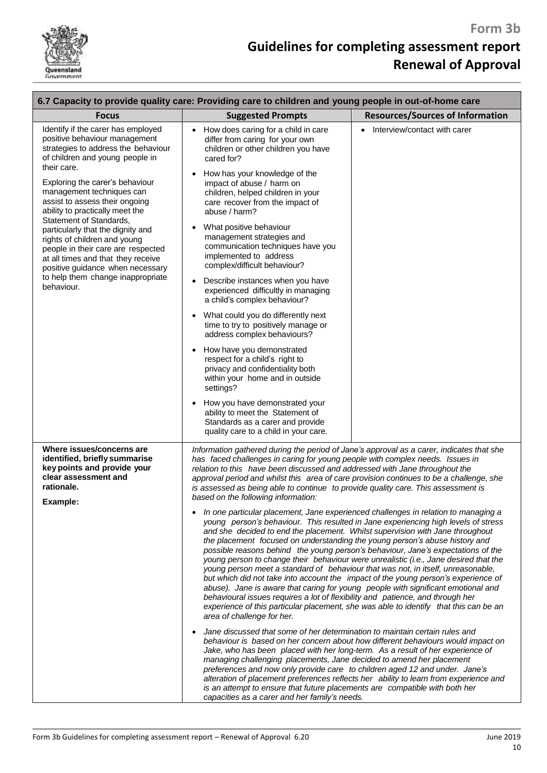

| 6.7 Capacity to provide quality care: Providing care to children and young people in out-of-home care                                                                                                                                                                                                                                                             |                                                                                                                                                                                                                                                                                                                                                                                                                                                                                                                                                                                                                                                                                                                                                                                                                                                                                                                                                                                              |                                         |  |  |
|-------------------------------------------------------------------------------------------------------------------------------------------------------------------------------------------------------------------------------------------------------------------------------------------------------------------------------------------------------------------|----------------------------------------------------------------------------------------------------------------------------------------------------------------------------------------------------------------------------------------------------------------------------------------------------------------------------------------------------------------------------------------------------------------------------------------------------------------------------------------------------------------------------------------------------------------------------------------------------------------------------------------------------------------------------------------------------------------------------------------------------------------------------------------------------------------------------------------------------------------------------------------------------------------------------------------------------------------------------------------------|-----------------------------------------|--|--|
| <b>Focus</b>                                                                                                                                                                                                                                                                                                                                                      | <b>Suggested Prompts</b>                                                                                                                                                                                                                                                                                                                                                                                                                                                                                                                                                                                                                                                                                                                                                                                                                                                                                                                                                                     | <b>Resources/Sources of Information</b> |  |  |
| Identify if the carer has employed<br>positive behaviour management<br>strategies to address the behaviour<br>of children and young people in<br>their care.<br>Exploring the carer's behaviour                                                                                                                                                                   | How does caring for a child in care<br>$\bullet$<br>differ from caring for your own<br>children or other children you have<br>cared for?<br>How has your knowledge of the<br>$\bullet$<br>impact of abuse / harm on                                                                                                                                                                                                                                                                                                                                                                                                                                                                                                                                                                                                                                                                                                                                                                          | Interview/contact with carer            |  |  |
| management techniques can<br>assist to assess their ongoing<br>ability to practically meet the<br>Statement of Standards,<br>particularly that the dignity and<br>rights of children and young<br>people in their care are respected<br>at all times and that they receive<br>positive guidance when necessary<br>to help them change inappropriate<br>behaviour. | children, helped children in your<br>care recover from the impact of<br>abuse / harm?<br>What positive behaviour<br>$\bullet$<br>management strategies and                                                                                                                                                                                                                                                                                                                                                                                                                                                                                                                                                                                                                                                                                                                                                                                                                                   |                                         |  |  |
|                                                                                                                                                                                                                                                                                                                                                                   | communication techniques have you<br>implemented to address<br>complex/difficult behaviour?<br>Describe instances when you have<br>$\bullet$<br>experienced difficultly in managing                                                                                                                                                                                                                                                                                                                                                                                                                                                                                                                                                                                                                                                                                                                                                                                                          |                                         |  |  |
|                                                                                                                                                                                                                                                                                                                                                                   | a child's complex behaviour?<br>What could you do differently next<br>$\bullet$<br>time to try to positively manage or<br>address complex behaviours?                                                                                                                                                                                                                                                                                                                                                                                                                                                                                                                                                                                                                                                                                                                                                                                                                                        |                                         |  |  |
|                                                                                                                                                                                                                                                                                                                                                                   | How have you demonstrated<br>$\bullet$<br>respect for a child's right to<br>privacy and confidentiality both<br>within your home and in outside<br>settings?                                                                                                                                                                                                                                                                                                                                                                                                                                                                                                                                                                                                                                                                                                                                                                                                                                 |                                         |  |  |
|                                                                                                                                                                                                                                                                                                                                                                   | How you have demonstrated your<br>$\bullet$<br>ability to meet the Statement of<br>Standards as a carer and provide<br>quality care to a child in your care.                                                                                                                                                                                                                                                                                                                                                                                                                                                                                                                                                                                                                                                                                                                                                                                                                                 |                                         |  |  |
| Where issues/concerns are<br>identified, briefly summarise<br>key points and provide your<br>clear assessment and<br>rationale.<br>Example:                                                                                                                                                                                                                       | Information gathered during the period of Jane's approval as a carer, indicates that she<br>has faced challenges in caring for young people with complex needs. Issues in<br>relation to this have been discussed and addressed with Jane throughout the<br>approval period and whilst this area of care provision continues to be a challenge, she<br>is assessed as being able to continue to provide quality care. This assessment is<br>based on the following information:                                                                                                                                                                                                                                                                                                                                                                                                                                                                                                              |                                         |  |  |
|                                                                                                                                                                                                                                                                                                                                                                   | In one particular placement, Jane experienced challenges in relation to managing a<br>young person's behaviour. This resulted in Jane experiencing high levels of stress<br>and she decided to end the placement. Whilst supervision with Jane throughout<br>the placement focused on understanding the young person's abuse history and<br>possible reasons behind the young person's behaviour, Jane's expectations of the<br>young person to change their behaviour were unrealistic (i.e., Jane desired that the<br>young person meet a standard of behaviour that was not, in itself, unreasonable,<br>but which did not take into account the impact of the young person's experience of<br>abuse). Jane is aware that caring for young people with significant emotional and<br>behavioural issues requires a lot of flexibility and patience, and through her<br>experience of this particular placement, she was able to identify that this can be an<br>area of challenge for her. |                                         |  |  |
|                                                                                                                                                                                                                                                                                                                                                                   | Jane discussed that some of her determination to maintain certain rules and<br>$\bullet$<br>behaviour is based on her concern about how different behaviours would impact on<br>Jake, who has been placed with her long-term. As a result of her experience of<br>managing challenging placements, Jane decided to amend her placement<br>preferences and now only provide care to children aged 12 and under. Jane's<br>alteration of placement preferences reflects her ability to learn from experience and<br>is an attempt to ensure that future placements are compatible with both her<br>capacities as a carer and her family's needs.                                                                                                                                                                                                                                                                                                                                               |                                         |  |  |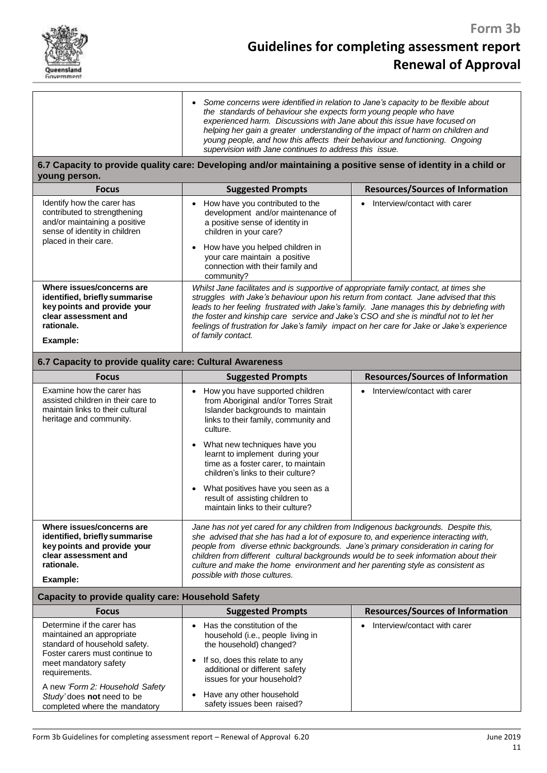

# **Guidelines for completing assessment report Renewal of Approval**

|                                                                                                                                                                                                                                       | Some concerns were identified in relation to Jane's capacity to be flexible about<br>the standards of behaviour she expects form young people who have<br>experienced harm. Discussions with Jane about this issue have focused on<br>helping her gain a greater understanding of the impact of harm on children and<br>young people, and how this affects their behaviour and functioning. Ongoing<br>supervision with Jane continues to address this issue.                         |                                         |  |  |
|---------------------------------------------------------------------------------------------------------------------------------------------------------------------------------------------------------------------------------------|---------------------------------------------------------------------------------------------------------------------------------------------------------------------------------------------------------------------------------------------------------------------------------------------------------------------------------------------------------------------------------------------------------------------------------------------------------------------------------------|-----------------------------------------|--|--|
| young person.                                                                                                                                                                                                                         | 6.7 Capacity to provide quality care: Developing and/or maintaining a positive sense of identity in a child or                                                                                                                                                                                                                                                                                                                                                                        |                                         |  |  |
| <b>Focus</b>                                                                                                                                                                                                                          | <b>Suggested Prompts</b>                                                                                                                                                                                                                                                                                                                                                                                                                                                              | <b>Resources/Sources of Information</b> |  |  |
| Identify how the carer has<br>contributed to strengthening<br>and/or maintaining a positive<br>sense of identity in children<br>placed in their care.                                                                                 | How have you contributed to the<br>development and/or maintenance of<br>a positive sense of identity in<br>children in your care?<br>How have you helped children in<br>$\bullet$<br>your care maintain a positive<br>connection with their family and<br>community?                                                                                                                                                                                                                  | Interview/contact with carer            |  |  |
| Where issues/concerns are<br>identified, briefly summarise<br>key points and provide your<br>clear assessment and<br>rationale.<br>Example:                                                                                           | Whilst Jane facilitates and is supportive of appropriate family contact, at times she<br>struggles with Jake's behaviour upon his return from contact. Jane advised that this<br>leads to her feeling frustrated with Jake's family. Jane manages this by debriefing with<br>the foster and kinship care service and Jake's CSO and she is mindful not to let her<br>feelings of frustration for Jake's family impact on her care for Jake or Jake's experience<br>of family contact. |                                         |  |  |
| 6.7 Capacity to provide quality care: Cultural Awareness                                                                                                                                                                              |                                                                                                                                                                                                                                                                                                                                                                                                                                                                                       |                                         |  |  |
| <b>Focus</b>                                                                                                                                                                                                                          | <b>Suggested Prompts</b>                                                                                                                                                                                                                                                                                                                                                                                                                                                              | <b>Resources/Sources of Information</b> |  |  |
| Examine how the carer has<br>assisted children in their care to<br>maintain links to their cultural<br>heritage and community.                                                                                                        | How you have supported children<br>from Aboriginal and/or Torres Strait<br>Islander backgrounds to maintain<br>links to their family, community and<br>culture.<br>What new techniques have you<br>$\bullet$<br>learnt to implement during your<br>time as a foster carer, to maintain<br>children's links to their culture?<br>What positives have you seen as a<br>result of assisting children to<br>maintain links to their culture?                                              | Interview/contact with carer            |  |  |
| Where issues/concerns are<br>identified, briefly summarise<br>key points and provide your<br>clear assessment and<br>rationale.<br>Example:                                                                                           | Jane has not yet cared for any children from Indigenous backgrounds. Despite this,<br>she advised that she has had a lot of exposure to, and experience interacting with,<br>people from diverse ethnic backgrounds. Jane's primary consideration in caring for<br>children from different cultural backgrounds would be to seek information about their<br>culture and make the home environment and her parenting style as consistent as<br>possible with those cultures.           |                                         |  |  |
| Capacity to provide quality care: Household Safety                                                                                                                                                                                    |                                                                                                                                                                                                                                                                                                                                                                                                                                                                                       |                                         |  |  |
| <b>Focus</b>                                                                                                                                                                                                                          | <b>Suggested Prompts</b>                                                                                                                                                                                                                                                                                                                                                                                                                                                              | <b>Resources/Sources of Information</b> |  |  |
| Determine if the carer has<br>maintained an appropriate<br>standard of household safety.<br>Foster carers must continue to<br>meet mandatory safety<br>requirements.<br>A new 'Form 2: Household Safety<br>Study' does not need to be | Has the constitution of the<br>$\bullet$<br>household (i.e., people living in<br>the household) changed?<br>If so, does this relate to any<br>$\bullet$<br>additional or different safety<br>issues for your household?<br>Have any other household                                                                                                                                                                                                                                   | Interview/contact with carer            |  |  |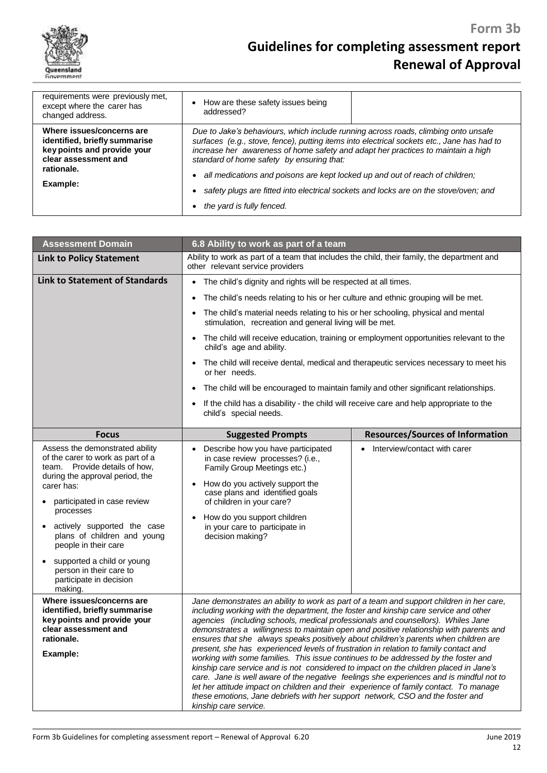

| requirements were previously met,<br>except where the carer has<br>changed address.                                             | • How are these safety issues being<br>addressed?                                                                                                                                                                                                                                                                 |  |
|---------------------------------------------------------------------------------------------------------------------------------|-------------------------------------------------------------------------------------------------------------------------------------------------------------------------------------------------------------------------------------------------------------------------------------------------------------------|--|
| Where issues/concerns are<br>identified, briefly summarise<br>key points and provide your<br>clear assessment and<br>rationale. | Due to Jake's behaviours, which include running across roads, climbing onto unsafe<br>surfaces (e.g., stove, fence), putting items into electrical sockets etc., Jane has had to<br>increase her awareness of home safety and adapt her practices to maintain a high<br>standard of home safety by ensuring that: |  |
| Example:                                                                                                                        | all medications and poisons are kept locked up and out of reach of children;<br>$\bullet$<br>safety plugs are fitted into electrical sockets and locks are on the stove/oven; and                                                                                                                                 |  |
|                                                                                                                                 | the yard is fully fenced.                                                                                                                                                                                                                                                                                         |  |
|                                                                                                                                 |                                                                                                                                                                                                                                                                                                                   |  |

| <b>Assessment Domain</b>                                                                                                                                                                                                                                                                                                                                                                | 6.8 Ability to work as part of a team                                                                                                                                                                                                                                                                                                                                                                                                                                                                                                                                                                                                                                                                                                                                                                                                                                                                                                                                                                                        |                                         |  |
|-----------------------------------------------------------------------------------------------------------------------------------------------------------------------------------------------------------------------------------------------------------------------------------------------------------------------------------------------------------------------------------------|------------------------------------------------------------------------------------------------------------------------------------------------------------------------------------------------------------------------------------------------------------------------------------------------------------------------------------------------------------------------------------------------------------------------------------------------------------------------------------------------------------------------------------------------------------------------------------------------------------------------------------------------------------------------------------------------------------------------------------------------------------------------------------------------------------------------------------------------------------------------------------------------------------------------------------------------------------------------------------------------------------------------------|-----------------------------------------|--|
| <b>Link to Policy Statement</b>                                                                                                                                                                                                                                                                                                                                                         | Ability to work as part of a team that includes the child, their family, the department and<br>other relevant service providers                                                                                                                                                                                                                                                                                                                                                                                                                                                                                                                                                                                                                                                                                                                                                                                                                                                                                              |                                         |  |
| <b>Link to Statement of Standards</b>                                                                                                                                                                                                                                                                                                                                                   | The child's dignity and rights will be respected at all times.<br>$\bullet$<br>The child's needs relating to his or her culture and ethnic grouping will be met.<br>٠                                                                                                                                                                                                                                                                                                                                                                                                                                                                                                                                                                                                                                                                                                                                                                                                                                                        |                                         |  |
|                                                                                                                                                                                                                                                                                                                                                                                         | The child's material needs relating to his or her schooling, physical and mental<br>$\bullet$<br>stimulation, recreation and general living will be met.                                                                                                                                                                                                                                                                                                                                                                                                                                                                                                                                                                                                                                                                                                                                                                                                                                                                     |                                         |  |
|                                                                                                                                                                                                                                                                                                                                                                                         | The child will receive education, training or employment opportunities relevant to the<br>$\bullet$<br>child's age and ability.                                                                                                                                                                                                                                                                                                                                                                                                                                                                                                                                                                                                                                                                                                                                                                                                                                                                                              |                                         |  |
|                                                                                                                                                                                                                                                                                                                                                                                         | The child will receive dental, medical and therapeutic services necessary to meet his<br>$\bullet$<br>or her needs.                                                                                                                                                                                                                                                                                                                                                                                                                                                                                                                                                                                                                                                                                                                                                                                                                                                                                                          |                                         |  |
|                                                                                                                                                                                                                                                                                                                                                                                         | The child will be encouraged to maintain family and other significant relationships.<br>$\bullet$                                                                                                                                                                                                                                                                                                                                                                                                                                                                                                                                                                                                                                                                                                                                                                                                                                                                                                                            |                                         |  |
|                                                                                                                                                                                                                                                                                                                                                                                         | If the child has a disability - the child will receive care and help appropriate to the<br>child's special needs.                                                                                                                                                                                                                                                                                                                                                                                                                                                                                                                                                                                                                                                                                                                                                                                                                                                                                                            |                                         |  |
| <b>Focus</b>                                                                                                                                                                                                                                                                                                                                                                            | <b>Suggested Prompts</b>                                                                                                                                                                                                                                                                                                                                                                                                                                                                                                                                                                                                                                                                                                                                                                                                                                                                                                                                                                                                     | <b>Resources/Sources of Information</b> |  |
| Assess the demonstrated ability<br>of the carer to work as part of a<br>team. Provide details of how,<br>during the approval period, the<br>carer has:<br>participated in case review<br>processes<br>actively supported the case<br>plans of children and young<br>people in their care<br>supported a child or young<br>person in their care to<br>participate in decision<br>making. | Describe how you have participated<br>in case review processes? (i.e.,<br>Family Group Meetings etc.)<br>How do you actively support the<br>$\bullet$<br>case plans and identified goals<br>of children in your care?<br>How do you support children<br>$\bullet$<br>in your care to participate in<br>decision making?                                                                                                                                                                                                                                                                                                                                                                                                                                                                                                                                                                                                                                                                                                      | Interview/contact with carer            |  |
| Where issues/concerns are<br>identified, briefly summarise<br>key points and provide your<br>clear assessment and<br>rationale.<br>Example:                                                                                                                                                                                                                                             | Jane demonstrates an ability to work as part of a team and support children in her care,<br>including working with the department, the foster and kinship care service and other<br>agencies (including schools, medical professionals and counsellors). Whiles Jane<br>demonstrates a willingness to maintain open and positive relationship with parents and<br>ensures that she always speaks positively about children's parents when children are<br>present, she has experienced levels of frustration in relation to family contact and<br>working with some families. This issue continues to be addressed by the foster and<br>kinship care service and is not considered to impact on the children placed in Jane's<br>care. Jane is well aware of the negative feelings she experiences and is mindful not to<br>let her attitude impact on children and their experience of family contact. To manage<br>these emotions, Jane debriefs with her support network, CSO and the foster and<br>kinship care service. |                                         |  |